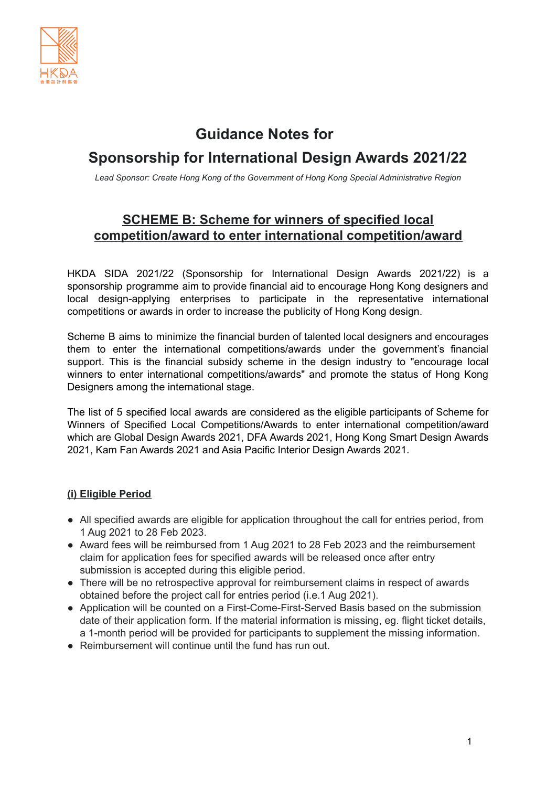

# **Guidance Notes for**

# **Sponsorship for International Design Awards 2021/22**

*Lead Sponsor: Create Hong Kong of the Government of Hong Kong Special Administrative Region*

# **SCHEME B: Scheme for winners of specified local competition/award to enter international competition/award**

HKDA SIDA 2021/22 (Sponsorship for International Design Awards 2021/22) is a sponsorship programme aim to provide financial aid to encourage Hong Kong designers and local design-applying enterprises to participate in the representative international competitions or awards in order to increase the publicity of Hong Kong design.

Scheme B aims to minimize the financial burden of talented local designers and encourages them to enter the international competitions/awards under the government's financial support. This is the financial subsidy scheme in the design industry to "encourage local winners to enter international competitions/awards" and promote the status of Hong Kong Designers among the international stage.

The list of 5 specified local awards are considered as the eligible participants of Scheme for Winners of Specified Local Competitions/Awards to enter international competition/award which are Global Design Awards 2021, DFA Awards 2021, Hong Kong Smart Design Awards 2021, Kam Fan Awards 2021 and Asia Pacific Interior Design Awards 2021.

# **(i) Eligible Period**

- All specified awards are eligible for application throughout the call for entries period, from 1 Aug 2021 to 28 Feb 2023.
- Award fees will be reimbursed from 1 Aug 2021 to 28 Feb 2023 and the reimbursement claim for application fees for specified awards will be released once after entry submission is accepted during this eligible period.
- There will be no retrospective approval for reimbursement claims in respect of awards obtained before the project call for entries period (i.e.1 Aug 2021).
- Application will be counted on a First-Come-First-Served Basis based on the submission date of their application form. If the material information is missing, eg. flight ticket details, a 1-month period will be provided for participants to supplement the missing information.
- Reimbursement will continue until the fund has run out.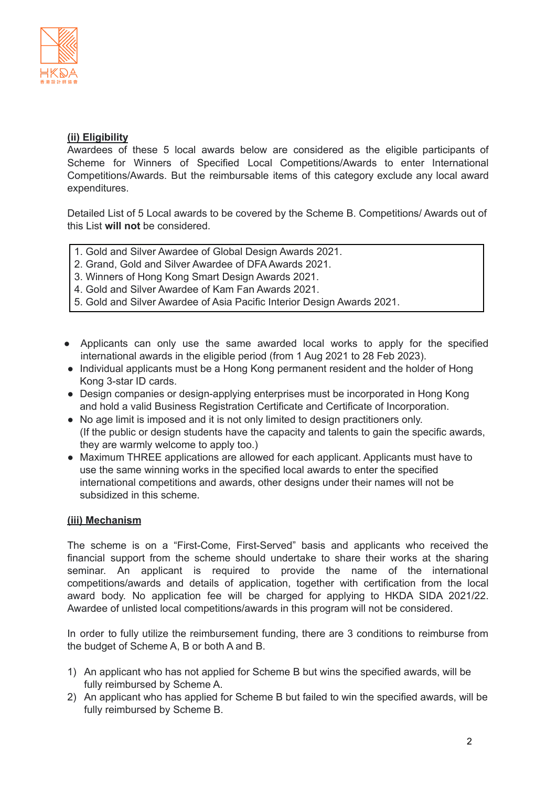

## **(ii) Eligibility**

Awardees of these 5 local awards below are considered as the eligible participants of Scheme for Winners of Specified Local Competitions/Awards to enter International Competitions/Awards. But the reimbursable items of this category exclude any local award expenditures.

Detailed List of 5 Local awards to be covered by the Scheme B. Competitions/ Awards out of this List **will not** be considered.

- 1. Gold and Silver Awardee of Global Design Awards 2021.
- 2. Grand, Gold and Silver Awardee of DFA Awards 2021.
- 3. Winners of Hong Kong Smart Design Awards 2021.
- 4. Gold and Silver Awardee of Kam Fan Awards 2021.
- 5. Gold and Silver Awardee of Asia Pacific Interior Design Awards 2021.
- Applicants can only use the same awarded local works to apply for the specified international awards in the eligible period (from 1 Aug 2021 to 28 Feb 2023).
- Individual applicants must be a Hong Kong permanent resident and the holder of Hong Kong 3-star ID cards.
- Design companies or design-applying enterprises must be incorporated in Hong Kong and hold a valid Business Registration Certificate and Certificate of Incorporation.
- No age limit is imposed and it is not only limited to design practitioners only. (If the public or design students have the capacity and talents to gain the specific awards, they are warmly welcome to apply too.)
- Maximum THREE applications are allowed for each applicant. Applicants must have to use the same winning works in the specified local awards to enter the specified international competitions and awards, other designs under their names will not be subsidized in this scheme.

### **(iii) Mechanism**

The scheme is on a "First-Come, First-Served" basis and applicants who received the financial support from the scheme should undertake to share their works at the sharing seminar. An applicant is required to provide the name of the international competitions/awards and details of application, together with certification from the local award body. No application fee will be charged for applying to HKDA SIDA 2021/22. Awardee of unlisted local competitions/awards in this program will not be considered.

In order to fully utilize the reimbursement funding, there are 3 conditions to reimburse from the budget of Scheme A, B or both A and B.

- 1) An applicant who has not applied for Scheme B but wins the specified awards, will be fully reimbursed by Scheme A.
- 2) An applicant who has applied for Scheme B but failed to win the specified awards, will be fully reimbursed by Scheme B.